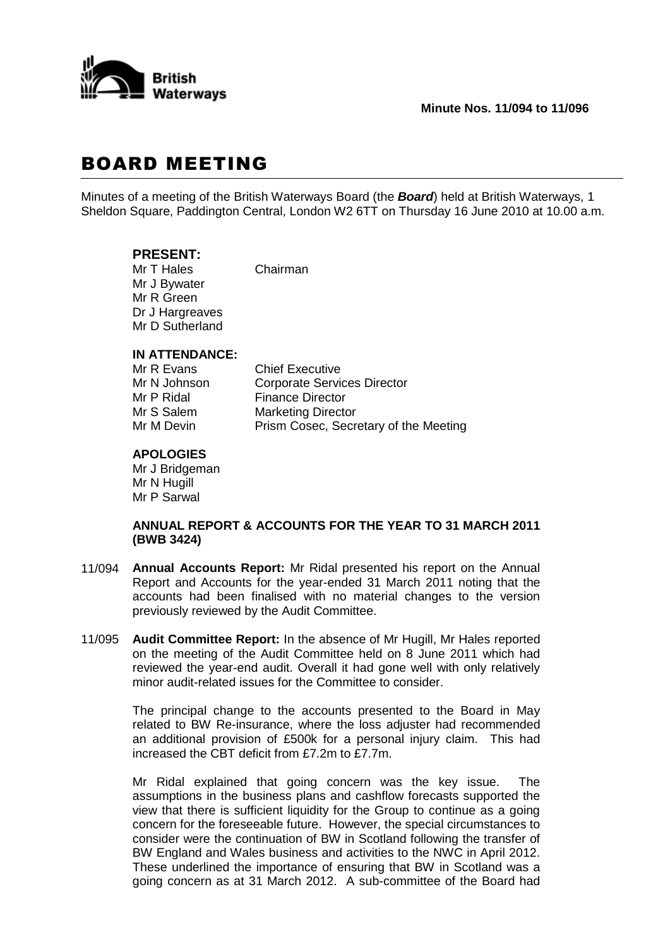

# BOARD MEETING

Minutes of a meeting of the British Waterways Board (the *Board*) held at British Waterways, 1 Sheldon Square, Paddington Central, London W2 6TT on Thursday 16 June 2010 at 10.00 a.m.

# **PRESENT:**

Mr T Hales Chairman Mr J Bywater Mr R Green Dr J Hargreaves Mr D Sutherland

### **IN ATTENDANCE:**

| Mr R Evans   | <b>Chief Executive</b>                |
|--------------|---------------------------------------|
| Mr N Johnson | <b>Corporate Services Director</b>    |
| Mr P Ridal   | <b>Finance Director</b>               |
| Mr S Salem   | <b>Marketing Director</b>             |
| Mr M Devin   | Prism Cosec, Secretary of the Meeting |

# **APOLOGIES**

Mr J Bridgeman Mr N Hugill Mr P Sarwal

#### **ANNUAL REPORT & ACCOUNTS FOR THE YEAR TO 31 MARCH 2011 (BWB 3424)**

- 11/094 **Annual Accounts Report:** Mr Ridal presented his report on the Annual Report and Accounts for the year-ended 31 March 2011 noting that the accounts had been finalised with no material changes to the version previously reviewed by the Audit Committee.
- 11/095 **Audit Committee Report:** In the absence of Mr Hugill, Mr Hales reported on the meeting of the Audit Committee held on 8 June 2011 which had reviewed the year-end audit. Overall it had gone well with only relatively minor audit-related issues for the Committee to consider.

The principal change to the accounts presented to the Board in May related to BW Re-insurance, where the loss adjuster had recommended an additional provision of £500k for a personal injury claim. This had increased the CBT deficit from £7.2m to £7.7m.

Mr Ridal explained that going concern was the key issue. The assumptions in the business plans and cashflow forecasts supported the view that there is sufficient liquidity for the Group to continue as a going concern for the foreseeable future. However, the special circumstances to consider were the continuation of BW in Scotland following the transfer of BW England and Wales business and activities to the NWC in April 2012. These underlined the importance of ensuring that BW in Scotland was a going concern as at 31 March 2012. A sub-committee of the Board had